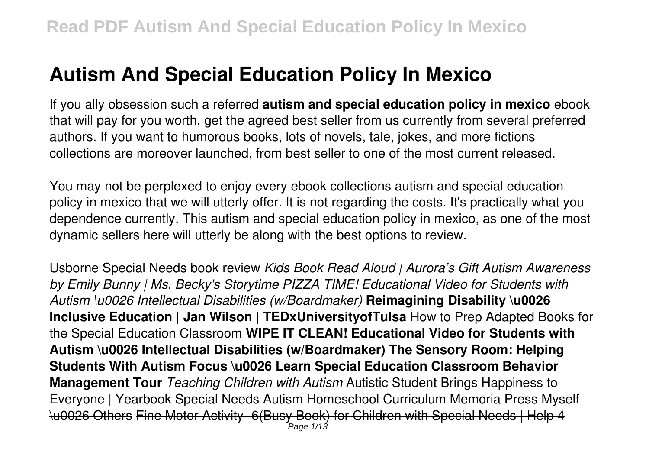If you ally obsession such a referred **autism and special education policy in mexico** ebook that will pay for you worth, get the agreed best seller from us currently from several preferred authors. If you want to humorous books, lots of novels, tale, jokes, and more fictions collections are moreover launched, from best seller to one of the most current released.

You may not be perplexed to enjoy every ebook collections autism and special education policy in mexico that we will utterly offer. It is not regarding the costs. It's practically what you dependence currently. This autism and special education policy in mexico, as one of the most dynamic sellers here will utterly be along with the best options to review.

Usborne Special Needs book review *Kids Book Read Aloud | Aurora's Gift Autism Awareness by Emily Bunny | Ms. Becky's Storytime PIZZA TIME! Educational Video for Students with Autism \u0026 Intellectual Disabilities (w/Boardmaker)* **Reimagining Disability \u0026 Inclusive Education | Jan Wilson | TEDxUniversityofTulsa** How to Prep Adapted Books for the Special Education Classroom **WIPE IT CLEAN! Educational Video for Students with Autism \u0026 Intellectual Disabilities (w/Boardmaker) The Sensory Room: Helping Students With Autism Focus \u0026 Learn Special Education Classroom Behavior Management Tour** *Teaching Children with Autism* Autistic Student Brings Happiness to Everyone | Yearbook Special Needs Autism Homeschool Curriculum Memoria Press Myself \u0026 Others Fine Motor Activity -6(Busy Book) for Children with Special Needs | Help 4 Page 1/13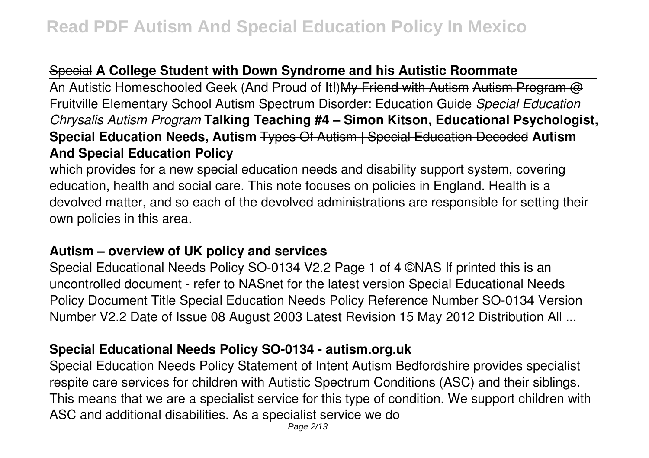## Special **A College Student with Down Syndrome and his Autistic Roommate**

An Autistic Homeschooled Geek (And Proud of It!) My Friend with Autism Autism Program @ Fruitville Elementary School Autism Spectrum Disorder: Education Guide *Special Education Chrysalis Autism Program* **Talking Teaching #4 – Simon Kitson, Educational Psychologist, Special Education Needs, Autism** Types Of Autism | Special Education Decoded **Autism And Special Education Policy**

which provides for a new special education needs and disability support system, covering education, health and social care. This note focuses on policies in England. Health is a devolved matter, and so each of the devolved administrations are responsible for setting their own policies in this area.

### **Autism – overview of UK policy and services**

Special Educational Needs Policy SO-0134 V2.2 Page 1 of 4 ©NAS If printed this is an uncontrolled document - refer to NASnet for the latest version Special Educational Needs Policy Document Title Special Education Needs Policy Reference Number SO-0134 Version Number V2.2 Date of Issue 08 August 2003 Latest Revision 15 May 2012 Distribution All ...

### **Special Educational Needs Policy SO-0134 - autism.org.uk**

Special Education Needs Policy Statement of Intent Autism Bedfordshire provides specialist respite care services for children with Autistic Spectrum Conditions (ASC) and their siblings. This means that we are a specialist service for this type of condition. We support children with ASC and additional disabilities. As a specialist service we do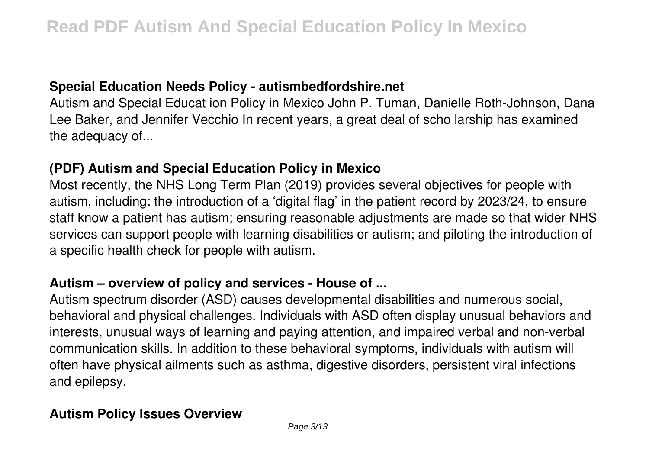### **Special Education Needs Policy - autismbedfordshire.net**

Autism and Special Educat ion Policy in Mexico John P. Tuman, Danielle Roth-Johnson, Dana Lee Baker, and Jennifer Vecchio In recent years, a great deal of scho larship has examined the adequacy of...

#### **(PDF) Autism and Special Education Policy in Mexico**

Most recently, the NHS Long Term Plan (2019) provides several objectives for people with autism, including: the introduction of a 'digital flag' in the patient record by 2023/24, to ensure staff know a patient has autism; ensuring reasonable adjustments are made so that wider NHS services can support people with learning disabilities or autism; and piloting the introduction of a specific health check for people with autism.

#### **Autism – overview of policy and services - House of ...**

Autism spectrum disorder (ASD) causes developmental disabilities and numerous social, behavioral and physical challenges. Individuals with ASD often display unusual behaviors and interests, unusual ways of learning and paying attention, and impaired verbal and non-verbal communication skills. In addition to these behavioral symptoms, individuals with autism will often have physical ailments such as asthma, digestive disorders, persistent viral infections and epilepsy.

### **Autism Policy Issues Overview**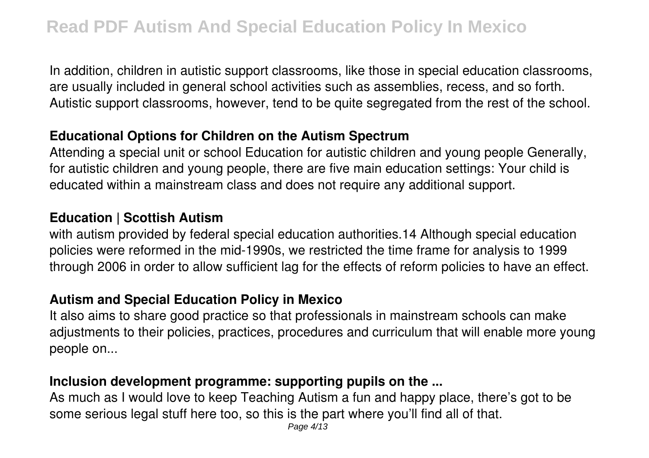In addition, children in autistic support classrooms, like those in special education classrooms, are usually included in general school activities such as assemblies, recess, and so forth. Autistic support classrooms, however, tend to be quite segregated from the rest of the school.

#### **Educational Options for Children on the Autism Spectrum**

Attending a special unit or school Education for autistic children and young people Generally, for autistic children and young people, there are five main education settings: Your child is educated within a mainstream class and does not require any additional support.

#### **Education | Scottish Autism**

with autism provided by federal special education authorities.14 Although special education policies were reformed in the mid-1990s, we restricted the time frame for analysis to 1999 through 2006 in order to allow sufficient lag for the effects of reform policies to have an effect.

#### **Autism and Special Education Policy in Mexico**

It also aims to share good practice so that professionals in mainstream schools can make adjustments to their policies, practices, procedures and curriculum that will enable more young people on...

### **Inclusion development programme: supporting pupils on the ...**

As much as I would love to keep Teaching Autism a fun and happy place, there's got to be some serious legal stuff here too, so this is the part where you'll find all of that.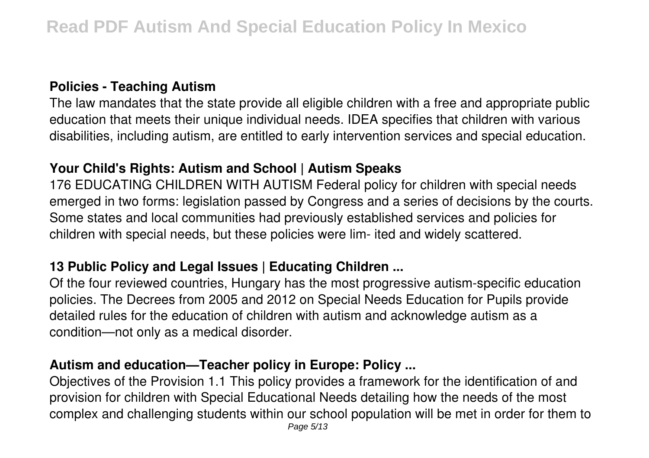### **Policies - Teaching Autism**

The law mandates that the state provide all eligible children with a free and appropriate public education that meets their unique individual needs. IDEA specifies that children with various disabilities, including autism, are entitled to early intervention services and special education.

### **Your Child's Rights: Autism and School | Autism Speaks**

176 EDUCATING CHILDREN WITH AUTISM Federal policy for children with special needs emerged in two forms: legislation passed by Congress and a series of decisions by the courts. Some states and local communities had previously established services and policies for children with special needs, but these policies were lim- ited and widely scattered.

### **13 Public Policy and Legal Issues | Educating Children ...**

Of the four reviewed countries, Hungary has the most progressive autism-specific education policies. The Decrees from 2005 and 2012 on Special Needs Education for Pupils provide detailed rules for the education of children with autism and acknowledge autism as a condition—not only as a medical disorder.

### **Autism and education—Teacher policy in Europe: Policy ...**

Objectives of the Provision 1.1 This policy provides a framework for the identification of and provision for children with Special Educational Needs detailing how the needs of the most complex and challenging students within our school population will be met in order for them to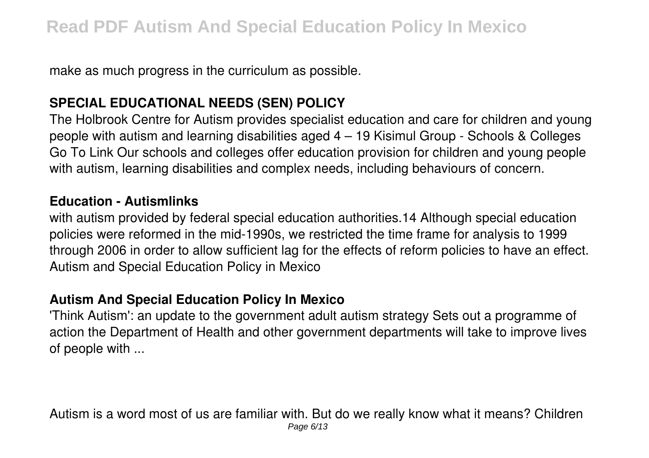make as much progress in the curriculum as possible.

### **SPECIAL EDUCATIONAL NEEDS (SEN) POLICY**

The Holbrook Centre for Autism provides specialist education and care for children and young people with autism and learning disabilities aged 4 – 19 Kisimul Group - Schools & Colleges Go To Link Our schools and colleges offer education provision for children and young people with autism, learning disabilities and complex needs, including behaviours of concern.

#### **Education - Autismlinks**

with autism provided by federal special education authorities.14 Although special education policies were reformed in the mid-1990s, we restricted the time frame for analysis to 1999 through 2006 in order to allow sufficient lag for the effects of reform policies to have an effect. Autism and Special Education Policy in Mexico

### **Autism And Special Education Policy In Mexico**

'Think Autism': an update to the government adult autism strategy Sets out a programme of action the Department of Health and other government departments will take to improve lives of people with ...

Autism is a word most of us are familiar with. But do we really know what it means? Children Page 6/13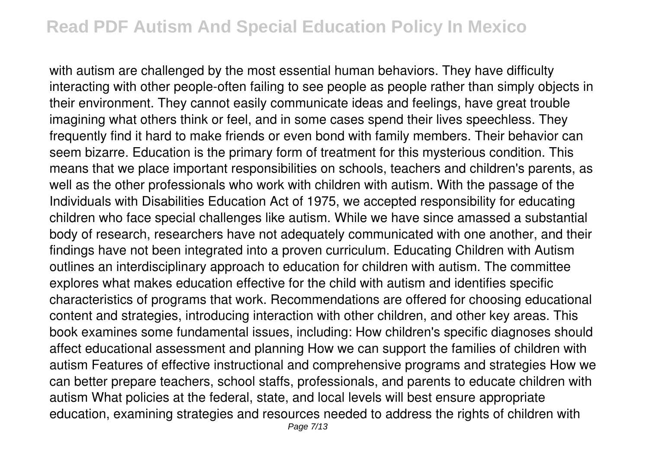with autism are challenged by the most essential human behaviors. They have difficulty interacting with other people-often failing to see people as people rather than simply objects in their environment. They cannot easily communicate ideas and feelings, have great trouble imagining what others think or feel, and in some cases spend their lives speechless. They frequently find it hard to make friends or even bond with family members. Their behavior can seem bizarre. Education is the primary form of treatment for this mysterious condition. This means that we place important responsibilities on schools, teachers and children's parents, as well as the other professionals who work with children with autism. With the passage of the Individuals with Disabilities Education Act of 1975, we accepted responsibility for educating children who face special challenges like autism. While we have since amassed a substantial body of research, researchers have not adequately communicated with one another, and their findings have not been integrated into a proven curriculum. Educating Children with Autism outlines an interdisciplinary approach to education for children with autism. The committee explores what makes education effective for the child with autism and identifies specific characteristics of programs that work. Recommendations are offered for choosing educational content and strategies, introducing interaction with other children, and other key areas. This book examines some fundamental issues, including: How children's specific diagnoses should affect educational assessment and planning How we can support the families of children with autism Features of effective instructional and comprehensive programs and strategies How we can better prepare teachers, school staffs, professionals, and parents to educate children with autism What policies at the federal, state, and local levels will best ensure appropriate education, examining strategies and resources needed to address the rights of children with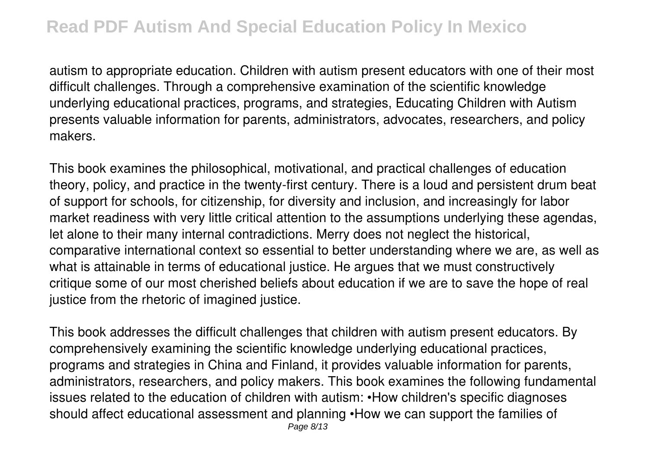autism to appropriate education. Children with autism present educators with one of their most difficult challenges. Through a comprehensive examination of the scientific knowledge underlying educational practices, programs, and strategies, Educating Children with Autism presents valuable information for parents, administrators, advocates, researchers, and policy makers.

This book examines the philosophical, motivational, and practical challenges of education theory, policy, and practice in the twenty-first century. There is a loud and persistent drum beat of support for schools, for citizenship, for diversity and inclusion, and increasingly for labor market readiness with very little critical attention to the assumptions underlying these agendas, let alone to their many internal contradictions. Merry does not neglect the historical, comparative international context so essential to better understanding where we are, as well as what is attainable in terms of educational justice. He argues that we must constructively critique some of our most cherished beliefs about education if we are to save the hope of real justice from the rhetoric of imagined justice.

This book addresses the difficult challenges that children with autism present educators. By comprehensively examining the scientific knowledge underlying educational practices, programs and strategies in China and Finland, it provides valuable information for parents, administrators, researchers, and policy makers. This book examines the following fundamental issues related to the education of children with autism: •How children's specific diagnoses should affect educational assessment and planning •How we can support the families of Page 8/13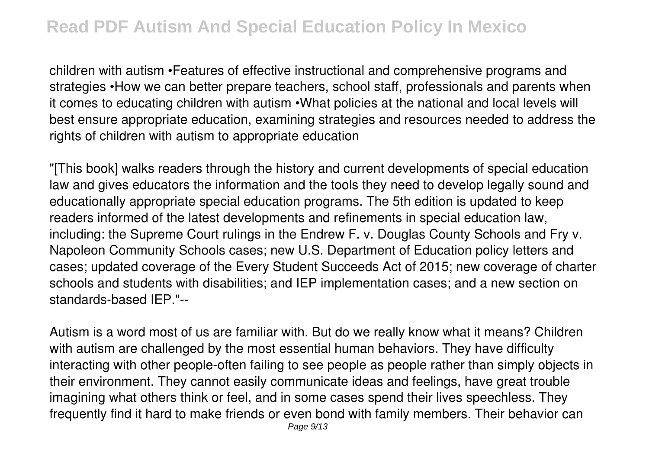children with autism •Features of effective instructional and comprehensive programs and strategies •How we can better prepare teachers, school staff, professionals and parents when it comes to educating children with autism •What policies at the national and local levels will best ensure appropriate education, examining strategies and resources needed to address the rights of children with autism to appropriate education

"[This book] walks readers through the history and current developments of special education law and gives educators the information and the tools they need to develop legally sound and educationally appropriate special education programs. The 5th edition is updated to keep readers informed of the latest developments and refinements in special education law, including: the Supreme Court rulings in the Endrew F. v. Douglas County Schools and Fry v. Napoleon Community Schools cases; new U.S. Department of Education policy letters and cases; updated coverage of the Every Student Succeeds Act of 2015; new coverage of charter schools and students with disabilities; and IEP implementation cases; and a new section on standards-based IEP."--

Autism is a word most of us are familiar with. But do we really know what it means? Children with autism are challenged by the most essential human behaviors. They have difficulty interacting with other people-often failing to see people as people rather than simply objects in their environment. They cannot easily communicate ideas and feelings, have great trouble imagining what others think or feel, and in some cases spend their lives speechless. They frequently find it hard to make friends or even bond with family members. Their behavior can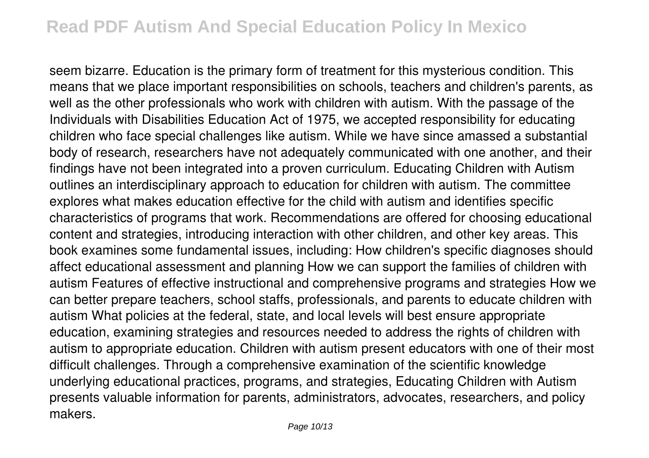seem bizarre. Education is the primary form of treatment for this mysterious condition. This means that we place important responsibilities on schools, teachers and children's parents, as well as the other professionals who work with children with autism. With the passage of the Individuals with Disabilities Education Act of 1975, we accepted responsibility for educating children who face special challenges like autism. While we have since amassed a substantial body of research, researchers have not adequately communicated with one another, and their findings have not been integrated into a proven curriculum. Educating Children with Autism outlines an interdisciplinary approach to education for children with autism. The committee explores what makes education effective for the child with autism and identifies specific characteristics of programs that work. Recommendations are offered for choosing educational content and strategies, introducing interaction with other children, and other key areas. This book examines some fundamental issues, including: How children's specific diagnoses should affect educational assessment and planning How we can support the families of children with autism Features of effective instructional and comprehensive programs and strategies How we can better prepare teachers, school staffs, professionals, and parents to educate children with autism What policies at the federal, state, and local levels will best ensure appropriate education, examining strategies and resources needed to address the rights of children with autism to appropriate education. Children with autism present educators with one of their most difficult challenges. Through a comprehensive examination of the scientific knowledge underlying educational practices, programs, and strategies, Educating Children with Autism presents valuable information for parents, administrators, advocates, researchers, and policy makers.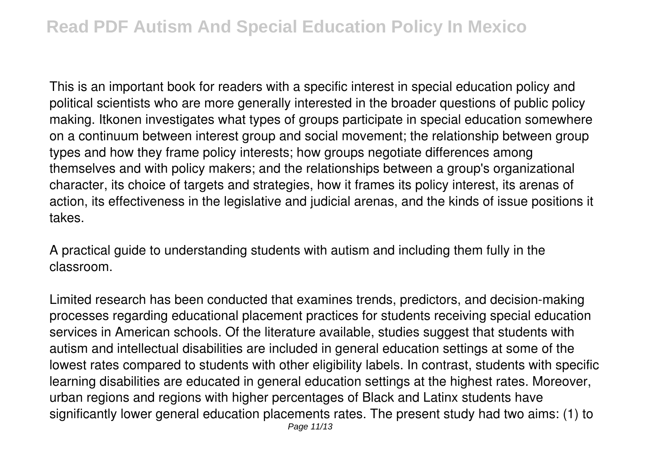This is an important book for readers with a specific interest in special education policy and political scientists who are more generally interested in the broader questions of public policy making. Itkonen investigates what types of groups participate in special education somewhere on a continuum between interest group and social movement; the relationship between group types and how they frame policy interests; how groups negotiate differences among themselves and with policy makers; and the relationships between a group's organizational character, its choice of targets and strategies, how it frames its policy interest, its arenas of action, its effectiveness in the legislative and judicial arenas, and the kinds of issue positions it takes.

A practical guide to understanding students with autism and including them fully in the classroom.

Limited research has been conducted that examines trends, predictors, and decision-making processes regarding educational placement practices for students receiving special education services in American schools. Of the literature available, studies suggest that students with autism and intellectual disabilities are included in general education settings at some of the lowest rates compared to students with other eligibility labels. In contrast, students with specific learning disabilities are educated in general education settings at the highest rates. Moreover, urban regions and regions with higher percentages of Black and Latinx students have significantly lower general education placements rates. The present study had two aims: (1) to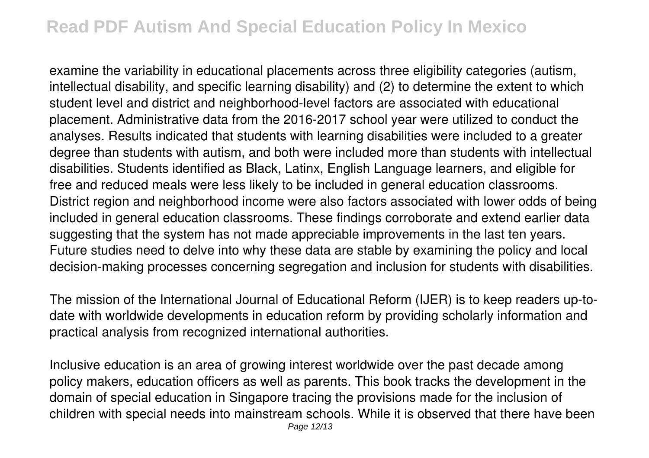examine the variability in educational placements across three eligibility categories (autism, intellectual disability, and specific learning disability) and (2) to determine the extent to which student level and district and neighborhood-level factors are associated with educational placement. Administrative data from the 2016-2017 school year were utilized to conduct the analyses. Results indicated that students with learning disabilities were included to a greater degree than students with autism, and both were included more than students with intellectual disabilities. Students identified as Black, Latinx, English Language learners, and eligible for free and reduced meals were less likely to be included in general education classrooms. District region and neighborhood income were also factors associated with lower odds of being included in general education classrooms. These findings corroborate and extend earlier data suggesting that the system has not made appreciable improvements in the last ten years. Future studies need to delve into why these data are stable by examining the policy and local decision-making processes concerning segregation and inclusion for students with disabilities.

The mission of the International Journal of Educational Reform (IJER) is to keep readers up-todate with worldwide developments in education reform by providing scholarly information and practical analysis from recognized international authorities.

Inclusive education is an area of growing interest worldwide over the past decade among policy makers, education officers as well as parents. This book tracks the development in the domain of special education in Singapore tracing the provisions made for the inclusion of children with special needs into mainstream schools. While it is observed that there have been